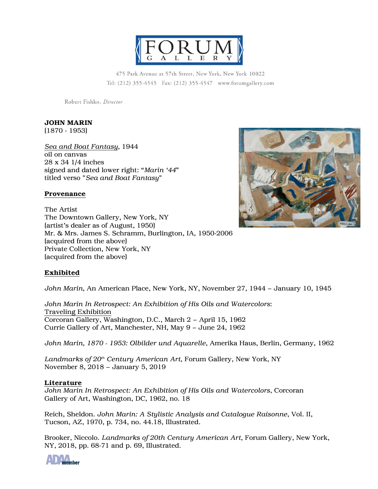

475 Park Avenue at 57th Street, New York, New York 10022 Tel: (212) 355-4545 Fax: (212) 355-4547 www.forumgallery.com

Robert Fishko, Director

# **JOHN MARIN**

(1870 - 1953)

*Sea and Boat Fantasy*, 1944 oil on canvas 28 x 34 1/4 inches signed and dated lower right: "*Marin '44*" titled verso "*Sea and Boat Fantasy*"

### **Provenance**

The Artist The Downtown Gallery, New York, NY (artist's dealer as of August, 1950) Mr. & Mrs. James S. Schramm, Burlington, IA, 1950-2006 (acquired from the above) Private Collection, New York, NY (acquired from the above)



## **Exhibited**

*John Marin*, An American Place, New York, NY, November 27, 1944 – January 10, 1945

*John Marin In Retrospect: An Exhibition of His Oils and Watercolors*: Traveling Exhibition Corcoran Gallery, Washington, D.C., March 2 – April 15, 1962 Currie Gallery of Art, Manchester, NH, May 9 – June 24, 1962

*John Marin, 1870 - 1953: Olbilder und Aquarelle*, Amerika Haus, Berlin, Germany, 1962

*Landmarks of 20th Century American Art*, Forum Gallery, New York, NY November 8, 2018 – January 5, 2019

### **Literature**

*John Marin In Retrospect: An Exhibition of His Oils and Watercolors*, Corcoran Gallery of Art, Washington, DC, 1962, no. 18

Reich, Sheldon. *John Marin: A Stylistic Analysis and Catalogue Raisonne*, Vol. II, Tucson, AZ, 1970, p. 734, no. 44.18, Illustrated.

Brooker, Niccolo. *Landmarks of 20th Century American Art*, Forum Gallery, New York, NY, 2018, pp. 68-71 and p. 69, Illustrated.

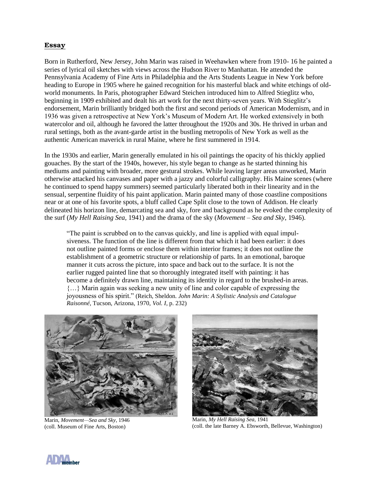### **Essay**

Born in Rutherford, New Jersey, John Marin was raised in Weehawken where from 1910- 16 he painted a series of lyrical oil sketches with views across the Hudson River to Manhattan. He attended the Pennsylvania Academy of Fine Arts in Philadelphia and the Arts Students League in New York before heading to Europe in 1905 where he gained recognition for his masterful black and white etchings of oldworld monuments. In Paris, photographer Edward Steichen introduced him to Alfred Stieglitz who, beginning in 1909 exhibited and dealt his art work for the next thirty-seven years. With Stieglitz's endorsement, Marin brilliantly bridged both the first and second periods of American Modernism, and in 1936 was given a retrospective at New York's Museum of Modern Art. He worked extensively in both watercolor and oil, although he favored the latter throughout the 1920s and 30s. He thrived in urban and rural settings, both as the avant-garde artist in the bustling metropolis of New York as well as the authentic American maverick in rural Maine, where he first summered in 1914.

In the 1930s and earlier, Marin generally emulated in his oil paintings the opacity of his thickly applied gouaches. By the start of the 1940s, however, his style began to change as he started thinning his mediums and painting with broader, more gestural strokes. While leaving larger areas unworked, Marin otherwise attacked his canvases and paper with a jazzy and colorful calligraphy. His Maine scenes (where he continued to spend happy summers) seemed particularly liberated both in their linearity and in the sensual, serpentine fluidity of his paint application. Marin painted many of those coastline compositions near or at one of his favorite spots, a bluff called Cape Split close to the town of Addison. He clearly delineated his horizon line, demarcating sea and sky, fore and background as he evoked the complexity of the surf (*My Hell Raising Sea,* 1941) and the drama of the sky (*Movement – Sea and Sky*, 1946).

"The paint is scrubbed on to the canvas quickly, and line is applied with equal impulsiveness. The function of the line is different from that which it had been earlier: it does not outline painted forms or enclose them within interior frames; it does not outline the establishment of a geometric structure or relationship of parts. In an emotional, baroque manner it cuts across the picture, into space and back out to the surface. It is not the earlier rugged painted line that so thoroughly integrated itself with painting: it has become a definitely drawn line, maintaining its identity in regard to the brushed-in areas. {…} Marin again was seeking a new unity of line and color capable of expressing the joyousness of his spirit." (Reich, Sheldon. *John Marin: A Stylistic Analysis and Catalogue Raisonné*, Tucson, Arizona, 1970, *Vol. I,* p. 232)



Marin, *Movement—Sea and Sky*, 1946 (coll. Museum of Fine Arts, Boston)



Marin, *My Hell Raising Sea*, 1941 (coll. the late Barney A. Ebsworth, Bellevue, Washington)